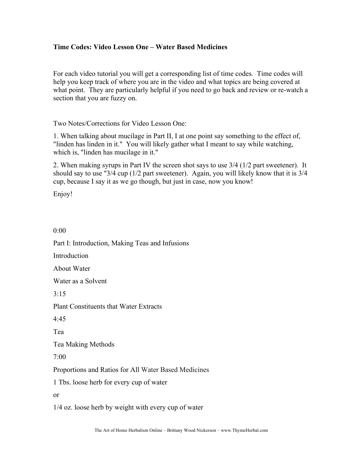## **Time Codes: Video Lesson One – Water Based Medicines**

For each video tutorial you will get a corresponding list of time codes. Time codes will help you keep track of where you are in the video and what topics are being covered at what point. They are particularly helpful if you need to go back and review or re-watch a section that you are fuzzy on.

Two Notes/Corrections for Video Lesson One:

1. When talking about mucilage in Part II, I at one point say something to the effect of, "linden has linden in it." You will likely gather what I meant to say while watching, which is, "linden has mucilage in it."

2. When making syrups in Part IV the screen shot says to use 3/4 (1/2 part sweetener). It should say to use "3/4 cup (1/2 part sweetener). Again, you will likely know that it is 3/4 cup, because I say it as we go though, but just in case, now you know!

Enjoy!

0:00

Part I: Introduction, Making Teas and Infusions **Introduction** About Water Water as a Solvent  $3.15$ Plant Constituents that Water Extracts 4:45 Tea Tea Making Methods 7:00 Proportions and Ratios for All Water Based Medicines 1 Tbs. loose herb for every cup of water or 1/4 oz. loose herb by weight with every cup of water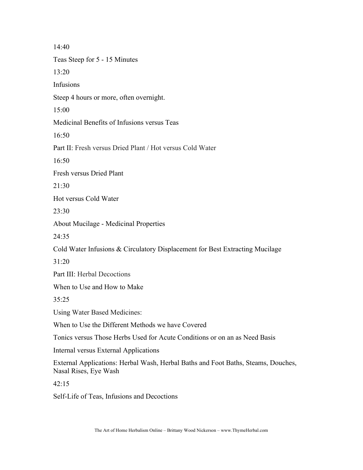14:40 Teas Steep for 5 - 15 Minutes 13:20 Infusions Steep 4 hours or more, often overnight. 15:00 Medicinal Benefits of Infusions versus Teas  $16:50$ Part II: Fresh versus Dried Plant / Hot versus Cold Water 16:50 Fresh versus Dried Plant 21:30 Hot versus Cold Water 23:30 About Mucilage - Medicinal Properties  $24.35$ Cold Water Infusions & Circulatory Displacement for Best Extracting Mucilage 31:20 Part III: Herbal Decoctions When to Use and How to Make 35:25 Using Water Based Medicines: When to Use the Different Methods we have Covered Tonics versus Those Herbs Used for Acute Conditions or on an as Need Basis Internal versus External Applications External Applications: Herbal Wash, Herbal Baths and Foot Baths, Steams, Douches, Nasal Rises, Eye Wash 42:15

Self-Life of Teas, Infusions and Decoctions